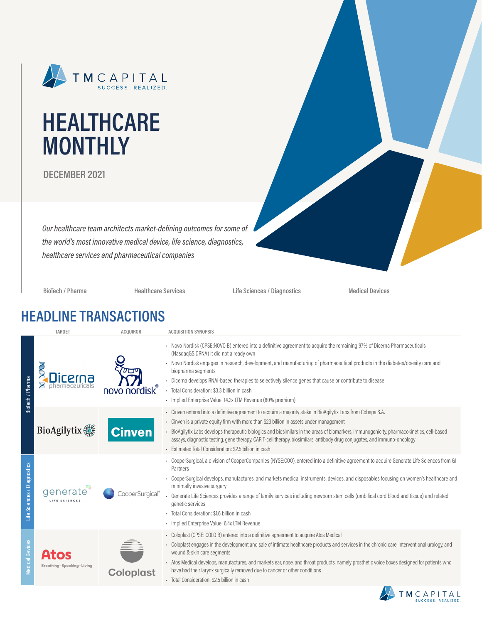

# **HEALTHCARE MONTHLY**

**DECEMBER 2021**

*Our healthcare team architects market-defining outcomes for some of the world's most innovative medical device, life science, diagnostics, healthcare services and pharmaceutical companies*

**BioTech / Pharma Healthcare Services Life Sciences / Diagnostics Medical Devices**

### **HEADLINE TRANSACTIONS**

|                             | TARGET                    | <b>ACQUIROR</b>  | <b>ACQUISITION SYNOPSIS</b>                                                                                                                                                                                                                                                                                                                                                                                                                                                                                                                                                           |
|-----------------------------|---------------------------|------------------|---------------------------------------------------------------------------------------------------------------------------------------------------------------------------------------------------------------------------------------------------------------------------------------------------------------------------------------------------------------------------------------------------------------------------------------------------------------------------------------------------------------------------------------------------------------------------------------|
| BioTech / Pharma            | cerna                     | nordisk          | - Novo Nordisk (CPSE:NOVO B) entered into a definitive agreement to acquire the remaining 97% of Dicerna Pharmaceuticals<br>(NasdaqGS:DRNA) it did not already own<br>- Novo Nordisk engages in research, development, and manufacturing of pharmaceutical products in the diabetes/obesity care and<br>biopharma segments<br>- Dicerna develops RNAi-based therapies to selectively silence genes that cause or contribute to disease<br>- Total Consideration: \$3.3 billion in cash<br>· Implied Enterprise Value: 14.2x LTM Revenue (80% premium)                                 |
|                             | <b>BioAgilytix</b>        | <b>Cinven</b>    | - Cinven entered into a definitive agreement to acquire a majority stake in BioAgilytix Labs from Cobepa S.A.<br>Cinven is a private equity firm with more than \$23 billion in assets under management<br>- BioAgilytix Labs develops therapeutic biologics and biosimilars in the areas of biomarkers, immunogenicity, pharmacokinetics, cell-based<br>assays, diagnostic testing, gene therapy, CAR T-cell therapy, biosimilars, antibody drug conjugates, and immuno-oncology<br>- Estimated Total Consideration: \$2.5 billion in cash                                           |
| Life Sciences / Diagnostics | generate                  | ooperSurgical    | - CooperSurgical, a division of CooperCompanies (NYSE:COO), entered into a definitive agreement to acquire Generate Life Sciences from GI<br>Partners<br>CooperSurgical develops, manufactures, and markets medical instruments, devices, and disposables focusing on women's healthcare and<br>minimally invasive surgery<br>Generate Life Sciences provides a range of family services including newborn stem cells (umbilical cord blood and tissue) and related<br>genetic services<br>Total Consideration: \$1.6 billion in cash<br>· Implied Enterprise Value: 6.4x LTM Revenue |
| <b>Medical Devices</b>      | Breathing-Speaking-Living | <b>Coloplast</b> | - Coloplast (CPSE: COLO B) entered into a definitive agreement to acquire Atos Medical<br>- Coloplast engages in the development and sale of intimate healthcare products and services in the chronic care, interventional urology, and<br>wound & skin care segments<br>- Atos Medical develops, manufactures, and markets ear, nose, and throat products, namely prosthetic voice boxes designed for patients who<br>have had their larynx surgically removed due to cancer or other conditions<br>· Total Consideration: \$2.5 billion in cash                                     |

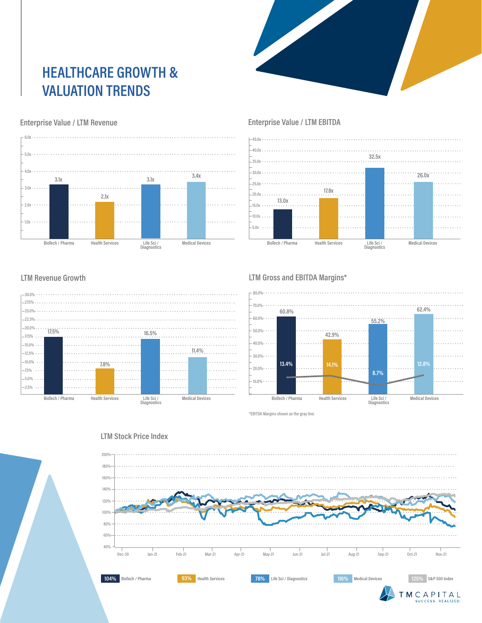## **HEALTHCARE GROWTH & VALUATION TRENDS**

#### **Enterprise Value / LTM Revenue**



#### **Enterprise Value / LTM EBITDA**



#### **LTM Revenue Growth**



#### **LTM Gross and EBITDA Margins\***



\*EBITDA Margins shown as the gray line.



#### **LTM Stock Price Index**